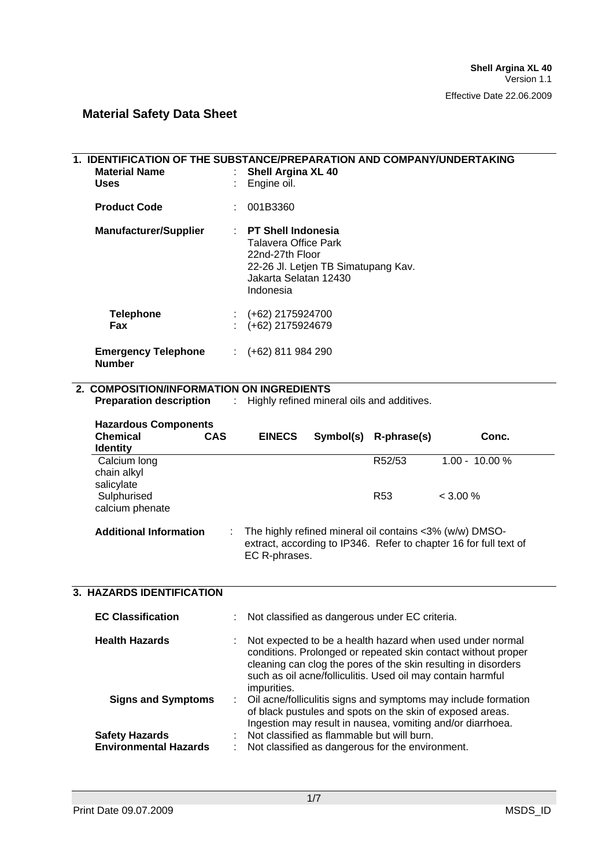| 1. IDENTIFICATION OF THE SUBSTANCE/PREPARATION AND COMPANY/UNDERTAKING<br><b>Material Name</b><br><b>Uses</b> |                | <b>Shell Argina XL 40</b><br>Engine oil.                                                                                                                                                  |  |                                                                                                |                                                                                                                                                                                                                                                             |
|---------------------------------------------------------------------------------------------------------------|----------------|-------------------------------------------------------------------------------------------------------------------------------------------------------------------------------------------|--|------------------------------------------------------------------------------------------------|-------------------------------------------------------------------------------------------------------------------------------------------------------------------------------------------------------------------------------------------------------------|
| <b>Product Code</b>                                                                                           |                | 001B3360                                                                                                                                                                                  |  |                                                                                                |                                                                                                                                                                                                                                                             |
| <b>Manufacturer/Supplier</b>                                                                                  | t.             | <b>PT Shell Indonesia</b><br><b>Talavera Office Park</b><br>22nd-27th Floor<br>22-26 Jl. Letjen TB Simatupang Kav.<br>Jakarta Selatan 12430<br>Indonesia                                  |  |                                                                                                |                                                                                                                                                                                                                                                             |
| <b>Telephone</b><br>Fax                                                                                       |                | (+62) 2175924700<br>(+62) 2175924679                                                                                                                                                      |  |                                                                                                |                                                                                                                                                                                                                                                             |
| <b>Emergency Telephone</b><br><b>Number</b>                                                                   |                | $(+62)$ 811 984 290                                                                                                                                                                       |  |                                                                                                |                                                                                                                                                                                                                                                             |
| 2. COMPOSITION/INFORMATION ON INGREDIENTS                                                                     |                |                                                                                                                                                                                           |  |                                                                                                |                                                                                                                                                                                                                                                             |
| <b>Preparation description</b>                                                                                | $\mathbb{R}^n$ |                                                                                                                                                                                           |  | Highly refined mineral oils and additives.                                                     |                                                                                                                                                                                                                                                             |
| <b>Hazardous Components</b>                                                                                   |                |                                                                                                                                                                                           |  |                                                                                                |                                                                                                                                                                                                                                                             |
| <b>Chemical</b><br>CAS<br><b>Identity</b>                                                                     |                | <b>EINECS</b>                                                                                                                                                                             |  | Symbol(s) R-phrase(s)                                                                          | Conc.                                                                                                                                                                                                                                                       |
| Calcium long<br>chain alkyl<br>salicylate                                                                     |                |                                                                                                                                                                                           |  | R52/53                                                                                         | 1.00 - 10.00 %                                                                                                                                                                                                                                              |
| Sulphurised<br>calcium phenate                                                                                |                |                                                                                                                                                                                           |  | R <sub>53</sub>                                                                                | $< 3.00\%$                                                                                                                                                                                                                                                  |
| <b>Additional Information</b>                                                                                 |                | EC R-phrases.                                                                                                                                                                             |  |                                                                                                | The highly refined mineral oil contains <3% (w/w) DMSO-<br>extract, according to IP346. Refer to chapter 16 for full text of                                                                                                                                |
| 3. HAZARDS IDENTIFICATION                                                                                     |                |                                                                                                                                                                                           |  |                                                                                                |                                                                                                                                                                                                                                                             |
| <b>EC Classification</b>                                                                                      |                |                                                                                                                                                                                           |  | Not classified as dangerous under EC criteria.                                                 |                                                                                                                                                                                                                                                             |
| <b>Health Hazards</b>                                                                                         |                | impurities.                                                                                                                                                                               |  |                                                                                                | Not expected to be a health hazard when used under normal<br>conditions. Prolonged or repeated skin contact without proper<br>cleaning can clog the pores of the skin resulting in disorders<br>such as oil acne/folliculitis. Used oil may contain harmful |
| <b>Signs and Symptoms</b>                                                                                     |                | Oil acne/folliculitis signs and symptoms may include formation<br>of black pustules and spots on the skin of exposed areas.<br>Ingestion may result in nausea, vomiting and/or diarrhoea. |  |                                                                                                |                                                                                                                                                                                                                                                             |
| <b>Safety Hazards</b><br><b>Environmental Hazards</b>                                                         |                |                                                                                                                                                                                           |  | Not classified as flammable but will burn.<br>Not classified as dangerous for the environment. |                                                                                                                                                                                                                                                             |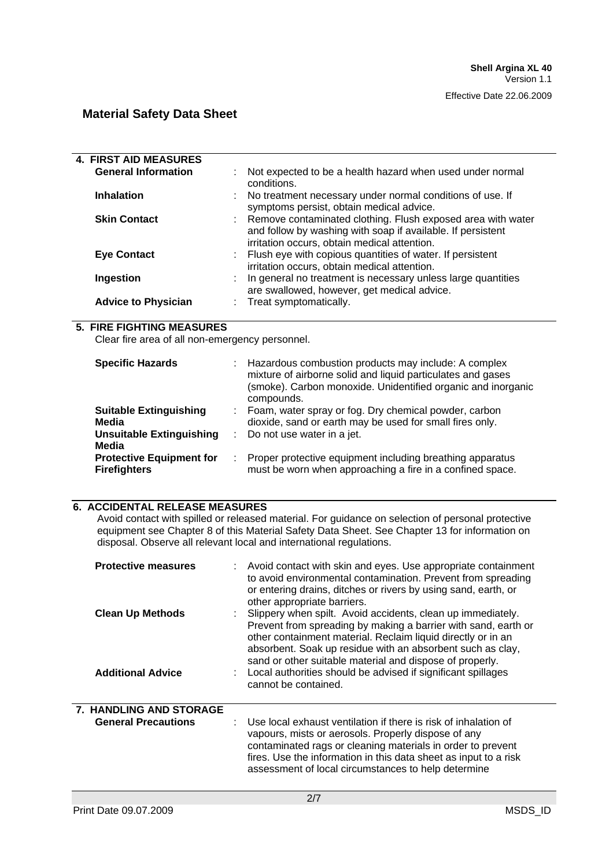| <b>4. FIRST AID MEASURES</b>                    |   |                                                                                                   |
|-------------------------------------------------|---|---------------------------------------------------------------------------------------------------|
| <b>General Information</b>                      |   |                                                                                                   |
|                                                 |   | Not expected to be a health hazard when used under normal<br>conditions.                          |
| <b>Inhalation</b>                               |   |                                                                                                   |
|                                                 |   | No treatment necessary under normal conditions of use. If                                         |
|                                                 |   | symptoms persist, obtain medical advice.                                                          |
| <b>Skin Contact</b>                             |   | : Remove contaminated clothing. Flush exposed area with water                                     |
|                                                 |   | and follow by washing with soap if available. If persistent                                       |
|                                                 |   | irritation occurs, obtain medical attention.                                                      |
| <b>Eye Contact</b>                              |   | Flush eye with copious quantities of water. If persistent                                         |
|                                                 |   | irritation occurs, obtain medical attention.                                                      |
| Ingestion                                       |   | In general no treatment is necessary unless large quantities                                      |
|                                                 |   | are swallowed, however, get medical advice.                                                       |
| <b>Advice to Physician</b>                      |   | Treat symptomatically.                                                                            |
|                                                 |   |                                                                                                   |
| <b>5. FIRE FIGHTING MEASURES</b>                |   |                                                                                                   |
| Clear fire area of all non-emergency personnel. |   |                                                                                                   |
|                                                 |   |                                                                                                   |
| <b>Specific Hazards</b>                         |   | Hazardous combustion products may include: A complex                                              |
|                                                 |   | mixture of airborne solid and liquid particulates and gases                                       |
|                                                 |   | (smoke). Carbon monoxide. Unidentified organic and inorganic                                      |
|                                                 |   | compounds.                                                                                        |
| <b>Suitable Extinguishing</b>                   |   | Foam, water spray or fog. Dry chemical powder, carbon                                             |
| <b>Media</b>                                    |   | dioxide, sand or earth may be used for small fires only.                                          |
| <b>Unsuitable Extinguishing</b>                 | ÷ | Do not use water in a jet.                                                                        |
| <b>Media</b>                                    |   |                                                                                                   |
| <b>Protective Equipment for</b>                 | ÷ | Proper protective equipment including breathing apparatus                                         |
| <b>Firefighters</b>                             |   | must be worn when approaching a fire in a confined space.                                         |
|                                                 |   |                                                                                                   |
|                                                 |   |                                                                                                   |
| <b>6. ACCIDENTAL RELEASE MEASURES</b>           |   |                                                                                                   |
|                                                 |   | Avoid contact with spilled or released material. For guidance on selection of personal protective |
|                                                 |   | equipment see Chapter 8 of this Material Safety Data Sheet. See Chapter 13 for information on     |
|                                                 |   | disposal. Observe all relevant local and international regulations.                               |
|                                                 |   |                                                                                                   |
| <b>Protective measures</b>                      |   | Avoid contact with skin and eyes. Use appropriate containment                                     |
|                                                 |   | to avoid environmental contamination. Prevent from spreading                                      |
|                                                 |   | or entering drains, ditches or rivers by using sand, earth, or                                    |
|                                                 |   | other appropriate barriers.                                                                       |
| <b>Clean Up Methods</b>                         |   | Slippery when spilt. Avoid accidents, clean up immediately.                                       |
|                                                 |   | Prevent from spreading by making a barrier with sand, earth or                                    |
|                                                 |   | other containment material. Reclaim liquid directly or in an                                      |
|                                                 |   | absorbent. Soak up residue with an absorbent such as clay,                                        |
|                                                 |   | sand or other suitable material and dispose of properly.                                          |
| <b>Additional Advice</b>                        |   | Local authorities should be advised if significant spillages                                      |
|                                                 |   | cannot be contained.                                                                              |

# **7. HANDLING AND STORAGE**

| <b>General Precautions</b> | : Use local exhaust ventilation if there is risk of inhalation of<br>vapours, mists or aerosols. Properly dispose of any<br>contaminated rags or cleaning materials in order to prevent |
|----------------------------|-----------------------------------------------------------------------------------------------------------------------------------------------------------------------------------------|
|                            | fires. Use the information in this data sheet as input to a risk<br>assessment of local circumstances to help determine                                                                 |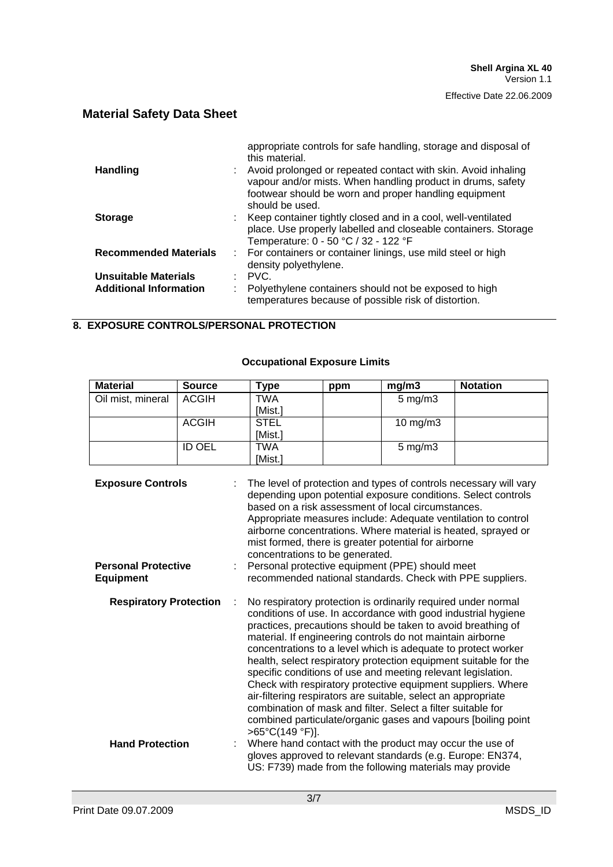|                               | appropriate controls for safe handling, storage and disposal of<br>this material.                                                                                                                        |
|-------------------------------|----------------------------------------------------------------------------------------------------------------------------------------------------------------------------------------------------------|
| <b>Handling</b>               | Avoid prolonged or repeated contact with skin. Avoid inhaling<br>vapour and/or mists. When handling product in drums, safety<br>footwear should be worn and proper handling equipment<br>should be used. |
| <b>Storage</b>                | : Keep container tightly closed and in a cool, well-ventilated<br>place. Use properly labelled and closeable containers. Storage<br>Temperature: 0 - 50 °C / 32 - 122 °F                                 |
| <b>Recommended Materials</b>  | : For containers or container linings, use mild steel or high<br>density polyethylene.                                                                                                                   |
| <b>Unsuitable Materials</b>   | $\therefore$ PVC.                                                                                                                                                                                        |
| <b>Additional Information</b> | Polyethylene containers should not be exposed to high<br>temperatures because of possible risk of distortion.                                                                                            |

#### **8. EXPOSURE CONTROLS/PERSONAL PROTECTION**

## **Occupational Exposure Limits**

| <b>Material</b>   | <b>Source</b> | Type        | ppm | mg/m3              | <b>Notation</b> |
|-------------------|---------------|-------------|-----|--------------------|-----------------|
| Oil mist, mineral | <b>ACGIH</b>  | TWA         |     | $5 \text{ mg/m}$ 3 |                 |
|                   |               | [Mist.]     |     |                    |                 |
|                   | <b>ACGIH</b>  | <b>STEL</b> |     | 10 mg/m $3$        |                 |
|                   |               | [Mist.]     |     |                    |                 |
|                   | <b>ID OEL</b> | TWA         |     | $5 \text{ mg/m}$ 3 |                 |
|                   |               | [Mist.]     |     |                    |                 |

| <b>Exposure Controls</b>                       | The level of protection and types of controls necessary will vary<br>depending upon potential exposure conditions. Select controls<br>based on a risk assessment of local circumstances.<br>Appropriate measures include: Adequate ventilation to control<br>airborne concentrations. Where material is heated, sprayed or<br>mist formed, there is greater potential for airborne<br>concentrations to be generated.                                                                                                                                                                                                                                                                                                                                                  |
|------------------------------------------------|------------------------------------------------------------------------------------------------------------------------------------------------------------------------------------------------------------------------------------------------------------------------------------------------------------------------------------------------------------------------------------------------------------------------------------------------------------------------------------------------------------------------------------------------------------------------------------------------------------------------------------------------------------------------------------------------------------------------------------------------------------------------|
| <b>Personal Protective</b><br><b>Equipment</b> | Personal protective equipment (PPE) should meet<br>recommended national standards. Check with PPE suppliers.                                                                                                                                                                                                                                                                                                                                                                                                                                                                                                                                                                                                                                                           |
| <b>Respiratory Protection</b>                  | No respiratory protection is ordinarily required under normal<br>conditions of use. In accordance with good industrial hygiene<br>practices, precautions should be taken to avoid breathing of<br>material. If engineering controls do not maintain airborne<br>concentrations to a level which is adequate to protect worker<br>health, select respiratory protection equipment suitable for the<br>specific conditions of use and meeting relevant legislation.<br>Check with respiratory protective equipment suppliers. Where<br>air-filtering respirators are suitable, select an appropriate<br>combination of mask and filter. Select a filter suitable for<br>combined particulate/organic gases and vapours [boiling point<br>$>65^{\circ}C(149^{\circ}F)$ ]. |
| <b>Hand Protection</b>                         | Where hand contact with the product may occur the use of<br>gloves approved to relevant standards (e.g. Europe: EN374,<br>US: F739) made from the following materials may provide                                                                                                                                                                                                                                                                                                                                                                                                                                                                                                                                                                                      |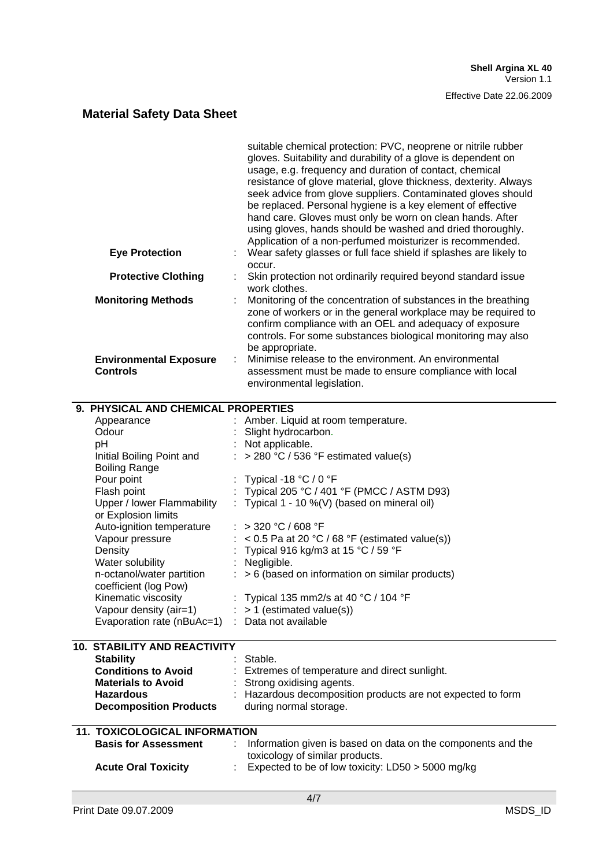|                                                          | suitable chemical protection: PVC, neoprene or nitrile rubber<br>gloves. Suitability and durability of a glove is dependent on<br>usage, e.g. frequency and duration of contact, chemical<br>resistance of glove material, glove thickness, dexterity. Always<br>seek advice from glove suppliers. Contaminated gloves should<br>be replaced. Personal hygiene is a key element of effective<br>hand care. Gloves must only be worn on clean hands. After<br>using gloves, hands should be washed and dried thoroughly. |
|----------------------------------------------------------|-------------------------------------------------------------------------------------------------------------------------------------------------------------------------------------------------------------------------------------------------------------------------------------------------------------------------------------------------------------------------------------------------------------------------------------------------------------------------------------------------------------------------|
| <b>Eye Protection</b>                                    | Application of a non-perfumed moisturizer is recommended.<br>Wear safety glasses or full face shield if splashes are likely to                                                                                                                                                                                                                                                                                                                                                                                          |
| <b>Protective Clothing</b>                               | occur.<br>Skin protection not ordinarily required beyond standard issue                                                                                                                                                                                                                                                                                                                                                                                                                                                 |
| <b>Monitoring Methods</b>                                | work clothes.<br>Monitoring of the concentration of substances in the breathing<br>zone of workers or in the general workplace may be required to<br>confirm compliance with an OEL and adequacy of exposure<br>controls. For some substances biological monitoring may also<br>be appropriate.                                                                                                                                                                                                                         |
| <b>Environmental Exposure</b><br>÷<br><b>Controls</b>    | Minimise release to the environment. An environmental<br>assessment must be made to ensure compliance with local<br>environmental legislation.                                                                                                                                                                                                                                                                                                                                                                          |
| 9. PHYSICAL AND CHEMICAL PROPERTIES                      |                                                                                                                                                                                                                                                                                                                                                                                                                                                                                                                         |
| Appearance<br>Odour                                      | Amber. Liquid at room temperature.<br>Slight hydrocarbon.                                                                                                                                                                                                                                                                                                                                                                                                                                                               |
| рH                                                       | : Not applicable.                                                                                                                                                                                                                                                                                                                                                                                                                                                                                                       |
| Initial Boiling Point and<br><b>Boiling Range</b>        | $\therefore$ > 280 °C / 536 °F estimated value(s)                                                                                                                                                                                                                                                                                                                                                                                                                                                                       |
| Pour point                                               | Typical -18 $^{\circ}$ C / 0 $^{\circ}$ F                                                                                                                                                                                                                                                                                                                                                                                                                                                                               |
| Flash point                                              | Typical 205 °C / 401 °F (PMCC / ASTM D93)                                                                                                                                                                                                                                                                                                                                                                                                                                                                               |
| Upper / lower Flammability<br>or Explosion limits        | : Typical 1 - 10 %(V) (based on mineral oil)                                                                                                                                                                                                                                                                                                                                                                                                                                                                            |
| Auto-ignition temperature                                | : > 320 °C / 608 °F                                                                                                                                                                                                                                                                                                                                                                                                                                                                                                     |
| Vapour pressure                                          | $:$ < 0.5 Pa at 20 °C / 68 °F (estimated value(s))                                                                                                                                                                                                                                                                                                                                                                                                                                                                      |
| Density                                                  | Typical 916 kg/m3 at 15 °C / 59 °F                                                                                                                                                                                                                                                                                                                                                                                                                                                                                      |
| Water solubility                                         | Negligible.                                                                                                                                                                                                                                                                                                                                                                                                                                                                                                             |
| n-octanol/water partition<br>t.<br>coefficient (log Pow) | > 6 (based on information on similar products)                                                                                                                                                                                                                                                                                                                                                                                                                                                                          |
| Kinematic viscosity                                      | Typical 135 mm2/s at 40 °C / 104 °F                                                                                                                                                                                                                                                                                                                                                                                                                                                                                     |
| Vapour density (air=1)                                   | $> 1$ (estimated value(s))                                                                                                                                                                                                                                                                                                                                                                                                                                                                                              |
| Evaporation rate (nBuAc=1)                               | Data not available                                                                                                                                                                                                                                                                                                                                                                                                                                                                                                      |
| <b>10. STABILITY AND REACTIVITY</b>                      |                                                                                                                                                                                                                                                                                                                                                                                                                                                                                                                         |
| <b>Stability</b>                                         | Stable.                                                                                                                                                                                                                                                                                                                                                                                                                                                                                                                 |
| <b>Conditions to Avoid</b>                               | Extremes of temperature and direct sunlight.                                                                                                                                                                                                                                                                                                                                                                                                                                                                            |
| <b>Materials to Avoid</b>                                | Strong oxidising agents.                                                                                                                                                                                                                                                                                                                                                                                                                                                                                                |
| <b>Hazardous</b><br><b>Decomposition Products</b>        | : Hazardous decomposition products are not expected to form<br>during normal storage.                                                                                                                                                                                                                                                                                                                                                                                                                                   |
| <b>11. TOXICOLOGICAL INFORMATION</b>                     |                                                                                                                                                                                                                                                                                                                                                                                                                                                                                                                         |
| <b>Basis for Assessment</b><br>t.                        | Information given is based on data on the components and the                                                                                                                                                                                                                                                                                                                                                                                                                                                            |
|                                                          | toxicology of similar products.                                                                                                                                                                                                                                                                                                                                                                                                                                                                                         |
| <b>Acute Oral Toxicity</b>                               | Expected to be of low toxicity: LD50 > 5000 mg/kg                                                                                                                                                                                                                                                                                                                                                                                                                                                                       |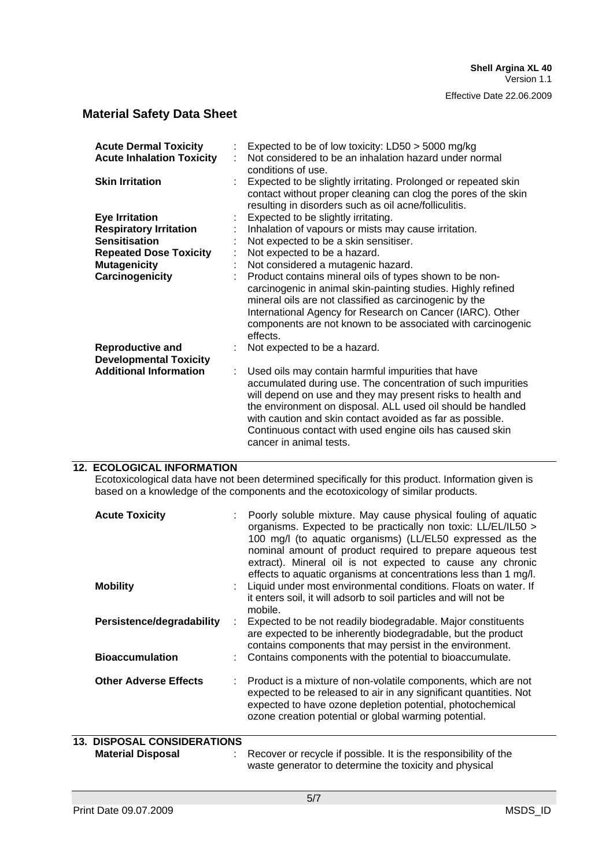| <b>Acute Dermal Toxicity</b><br><b>Acute Inhalation Toxicity</b><br><b>Skin Irritation</b> | Expected to be of low toxicity: LD50 > 5000 mg/kg<br>Not considered to be an inhalation hazard under normal<br>conditions of use.<br>Expected to be slightly irritating. Prolonged or repeated skin<br>contact without proper cleaning can clog the pores of the skin<br>resulting in disorders such as oil acne/folliculitis.                                                                       |
|--------------------------------------------------------------------------------------------|------------------------------------------------------------------------------------------------------------------------------------------------------------------------------------------------------------------------------------------------------------------------------------------------------------------------------------------------------------------------------------------------------|
| <b>Eye Irritation</b>                                                                      | Expected to be slightly irritating.                                                                                                                                                                                                                                                                                                                                                                  |
| <b>Respiratory Irritation</b>                                                              | Inhalation of vapours or mists may cause irritation.                                                                                                                                                                                                                                                                                                                                                 |
| <b>Sensitisation</b>                                                                       | Not expected to be a skin sensitiser.                                                                                                                                                                                                                                                                                                                                                                |
| <b>Repeated Dose Toxicity</b>                                                              | Not expected to be a hazard.                                                                                                                                                                                                                                                                                                                                                                         |
| <b>Mutagenicity</b>                                                                        | Not considered a mutagenic hazard.                                                                                                                                                                                                                                                                                                                                                                   |
| Carcinogenicity                                                                            | Product contains mineral oils of types shown to be non-<br>carcinogenic in animal skin-painting studies. Highly refined<br>mineral oils are not classified as carcinogenic by the<br>International Agency for Research on Cancer (IARC). Other<br>components are not known to be associated with carcinogenic<br>effects.                                                                            |
| <b>Reproductive and</b><br><b>Developmental Toxicity</b>                                   | Not expected to be a hazard.                                                                                                                                                                                                                                                                                                                                                                         |
| <b>Additional Information</b>                                                              | Used oils may contain harmful impurities that have<br>accumulated during use. The concentration of such impurities<br>will depend on use and they may present risks to health and<br>the environment on disposal. ALL used oil should be handled<br>with caution and skin contact avoided as far as possible.<br>Continuous contact with used engine oils has caused skin<br>cancer in animal tests. |

#### **12. ECOLOGICAL INFORMATION**

Ecotoxicological data have not been determined specifically for this product. Information given is based on a knowledge of the components and the ecotoxicology of similar products.

| <b>Acute Toxicity</b>              | Poorly soluble mixture. May cause physical fouling of aquatic<br>organisms. Expected to be practically non toxic: LL/EL/IL50 ><br>100 mg/l (to aquatic organisms) (LL/EL50 expressed as the<br>nominal amount of product required to prepare aqueous test<br>extract). Mineral oil is not expected to cause any chronic |
|------------------------------------|-------------------------------------------------------------------------------------------------------------------------------------------------------------------------------------------------------------------------------------------------------------------------------------------------------------------------|
| <b>Mobility</b>                    | effects to aquatic organisms at concentrations less than 1 mg/l.<br>Liquid under most environmental conditions. Floats on water. If<br>it enters soil, it will adsorb to soil particles and will not be<br>mobile.                                                                                                      |
| Persistence/degradability          | Expected to be not readily biodegradable. Major constituents<br>are expected to be inherently biodegradable, but the product<br>contains components that may persist in the environment.                                                                                                                                |
| <b>Bioaccumulation</b>             | Contains components with the potential to bioaccumulate.                                                                                                                                                                                                                                                                |
| <b>Other Adverse Effects</b>       | Product is a mixture of non-volatile components, which are not<br>expected to be released to air in any significant quantities. Not<br>expected to have ozone depletion potential, photochemical<br>ozone creation potential or global warming potential.                                                               |
| <b>13. DISPOSAL CONSIDERATIONS</b> |                                                                                                                                                                                                                                                                                                                         |

**Material Disposal** : Recover or recycle if possible. It is the responsibility of the waste generator to determine the toxicity and physical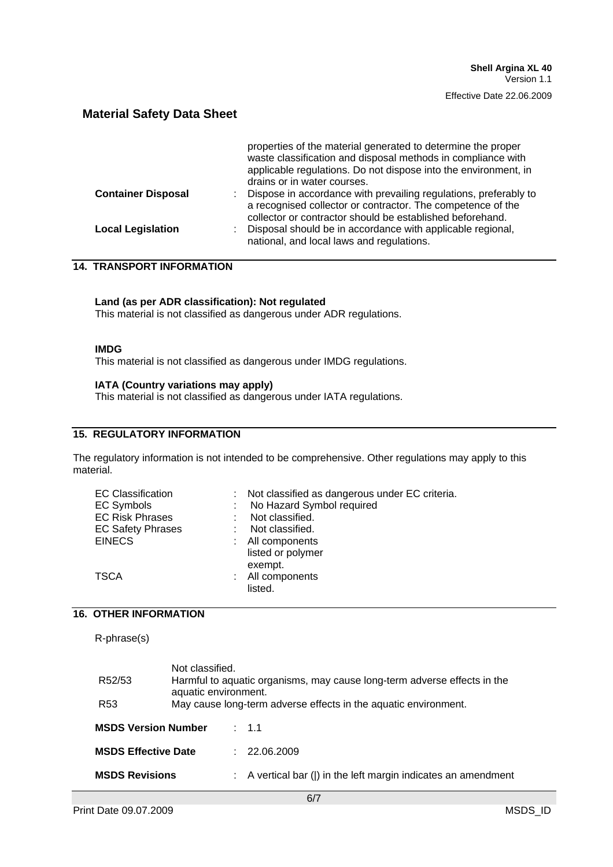|                                 | properties of the material generated to determine the proper<br>waste classification and disposal methods in compliance with<br>applicable regulations. Do not dispose into the environment, in<br>drains or in water courses. |
|---------------------------------|--------------------------------------------------------------------------------------------------------------------------------------------------------------------------------------------------------------------------------|
| <b>Container Disposal</b><br>t. | Dispose in accordance with prevailing regulations, preferably to<br>a recognised collector or contractor. The competence of the<br>collector or contractor should be established beforehand.                                   |
| <b>Local Legislation</b>        | Disposal should be in accordance with applicable regional,<br>national, and local laws and regulations.                                                                                                                        |

## **14. TRANSPORT INFORMATION**

#### **Land (as per ADR classification): Not regulated**

This material is not classified as dangerous under ADR regulations.

#### **IMDG**

This material is not classified as dangerous under IMDG regulations.

#### **IATA (Country variations may apply)**

This material is not classified as dangerous under IATA regulations.

#### **15. REGULATORY INFORMATION**

The regulatory information is not intended to be comprehensive. Other regulations may apply to this material.

| Not classified as dangerous under EC criteria. |
|------------------------------------------------|
| No Hazard Symbol required                      |
| Not classified.                                |
| Not classified.                                |
| : All components                               |
| listed or polymer                              |
| exempt.                                        |
| : All components                               |
| listed.                                        |
|                                                |

#### **16. OTHER INFORMATION**

R-phrase(s)

| R52/53                     | Not classified.<br>aquatic environment.                         |    | Harmful to aquatic organisms, may cause long-term adverse effects in the |  |  |
|----------------------------|-----------------------------------------------------------------|----|--------------------------------------------------------------------------|--|--|
| R <sub>53</sub>            | May cause long-term adverse effects in the aquatic environment. |    |                                                                          |  |  |
| <b>MSDS Version Number</b> |                                                                 |    | $\therefore$ 1.1                                                         |  |  |
| <b>MSDS Effective Date</b> |                                                                 | t. | 22.06.2009                                                               |  |  |
| <b>MSDS Revisions</b>      |                                                                 |    | : A vertical bar ( ) in the left margin indicates an amendment           |  |  |